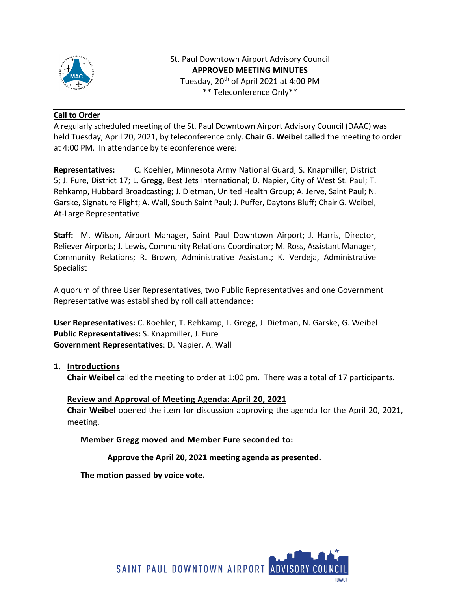

St. Paul Downtown Airport Advisory Council **APPROVED MEETING MINUTES** Tuesday, 20<sup>th</sup> of April 2021 at 4:00 PM \*\* Teleconference Only\*\*

## **Call to Order**

A regularly scheduled meeting of the St. Paul Downtown Airport Advisory Council (DAAC) was held Tuesday, April 20, 2021, by teleconference only. **Chair G. Weibel** called the meeting to order at 4:00 PM. In attendance by teleconference were:

**Representatives:** C. Koehler, Minnesota Army National Guard; S. Knapmiller, District 5; J. Fure, District 17; L. Gregg, Best Jets International; D. Napier, City of West St. Paul; T. Rehkamp, Hubbard Broadcasting; J. Dietman, United Health Group; A. Jerve, Saint Paul; N. Garske, Signature Flight; A. Wall, South Saint Paul; J. Puffer, Daytons Bluff; Chair G. Weibel, At-Large Representative

**Staff:** M. Wilson, Airport Manager, Saint Paul Downtown Airport; J. Harris, Director, Reliever Airports; J. Lewis, Community Relations Coordinator; M. Ross, Assistant Manager, Community Relations; R. Brown, Administrative Assistant; K. Verdeja, Administrative Specialist

A quorum of three User Representatives, two Public Representatives and one Government Representative was established by roll call attendance:

**User Representatives:** C. Koehler, T. Rehkamp, L. Gregg, J. Dietman, N. Garske, G. Weibel **Public Representatives:** S. Knapmiller, J. Fure **Government Representatives**: D. Napier. A. Wall

**1. Introductions**

**Chair Weibel** called the meeting to order at 1:00 pm. There was a total of 17 participants.

# **Review and Approval of Meeting Agenda: April 20, 2021**

**Chair Weibel** opened the item for discussion approving the agenda for the April 20, 2021, meeting.

**Member Gregg moved and Member Fure seconded to:**

**Approve the April 20, 2021 meeting agenda as presented.**

**The motion passed by voice vote.** 

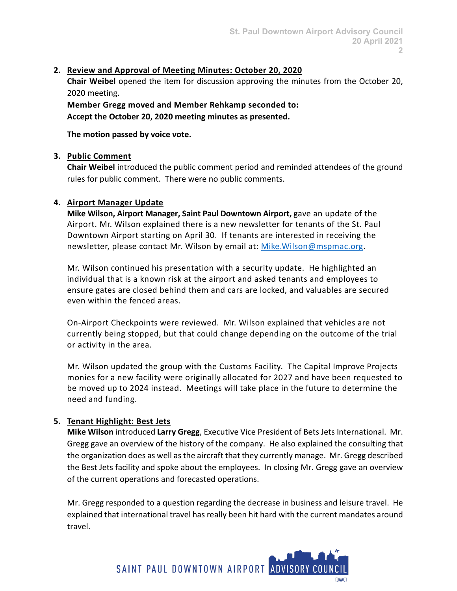## **2. Review and Approval of Meeting Minutes: October 20, 2020**

**Chair Weibel** opened the item for discussion approving the minutes from the October 20, 2020 meeting.

**Member Gregg moved and Member Rehkamp seconded to: Accept the October 20, 2020 meeting minutes as presented.**

**The motion passed by voice vote.** 

## **3. Public Comment**

**Chair Weibel** introduced the public comment period and reminded attendees of the ground rules for public comment. There were no public comments.

## **4. Airport Manager Update**

**Mike Wilson, Airport Manager, Saint Paul Downtown Airport,** gave an update of the Airport. Mr. Wilson explained there is a new newsletter for tenants of the St. Paul Downtown Airport starting on April 30. If tenants are interested in receiving the newsletter, please contact Mr. Wilson by email at: [Mike.Wilson@mspmac.org.](mailto:Mike.Wilson@mspmac.org)

Mr. Wilson continued his presentation with a security update. He highlighted an individual that is a known risk at the airport and asked tenants and employees to ensure gates are closed behind them and cars are locked, and valuables are secured even within the fenced areas.

On-Airport Checkpoints were reviewed. Mr. Wilson explained that vehicles are not currently being stopped, but that could change depending on the outcome of the trial or activity in the area.

Mr. Wilson updated the group with the Customs Facility. The Capital Improve Projects monies for a new facility were originally allocated for 2027 and have been requested to be moved up to 2024 instead. Meetings will take place in the future to determine the need and funding.

# **5. Tenant Highlight: Best Jets**

**Mike Wilson** introduced **Larry Gregg**, Executive Vice President of Bets Jets International. Mr. Gregg gave an overview of the history of the company. He also explained the consulting that the organization does as well as the aircraft that they currently manage. Mr. Gregg described the Best Jets facility and spoke about the employees. In closing Mr. Gregg gave an overview of the current operations and forecasted operations.

Mr. Gregg responded to a question regarding the decrease in business and leisure travel. He explained that international travel has really been hit hard with the current mandates around travel.

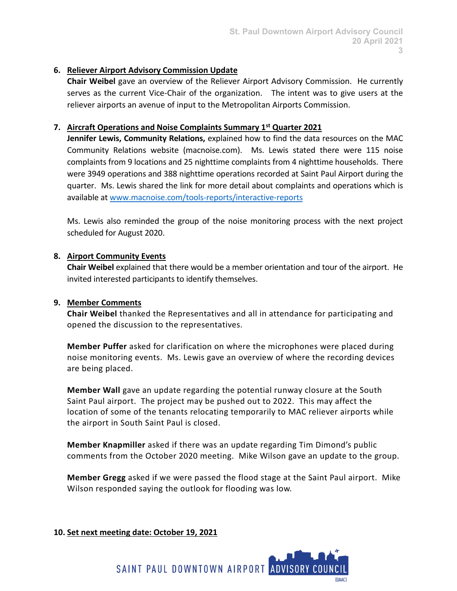## **6. Reliever Airport Advisory Commission Update**

**Chair Weibel** gave an overview of the Reliever Airport Advisory Commission. He currently serves as the current Vice-Chair of the organization. The intent was to give users at the reliever airports an avenue of input to the Metropolitan Airports Commission.

## **7. Aircraft Operations and Noise Complaints Summary 1st Quarter 2021**

**Jennifer Lewis, Community Relations,** explained how to find the data resources on the MAC Community Relations website (macnoise.com). Ms. Lewis stated there were 115 noise complaints from 9 locations and 25 nighttime complaints from 4 nighttime households. There were 3949 operations and 388 nighttime operations recorded at Saint Paul Airport during the quarter. Ms. Lewis shared the link for more detail about complaints and operations which is available at [www.macnoise.com/tools-reports/interactive-reports](http://www.macnoise.com/tools-reports/interactive-reports)

Ms. Lewis also reminded the group of the noise monitoring process with the next project scheduled for August 2020.

## **8. Airport Community Events**

**Chair Weibel** explained that there would be a member orientation and tour of the airport. He invited interested participants to identify themselves.

#### **9. Member Comments**

**Chair Weibel** thanked the Representatives and all in attendance for participating and opened the discussion to the representatives.

**Member Puffer** asked for clarification on where the microphones were placed during noise monitoring events. Ms. Lewis gave an overview of where the recording devices are being placed.

**Member Wall** gave an update regarding the potential runway closure at the South Saint Paul airport. The project may be pushed out to 2022. This may affect the location of some of the tenants relocating temporarily to MAC reliever airports while the airport in South Saint Paul is closed.

**Member Knapmiller** asked if there was an update regarding Tim Dimond's public comments from the October 2020 meeting. Mike Wilson gave an update to the group.

**Member Gregg** asked if we were passed the flood stage at the Saint Paul airport. Mike Wilson responded saying the outlook for flooding was low.

#### **10. Set next meeting date: October 19, 2021**